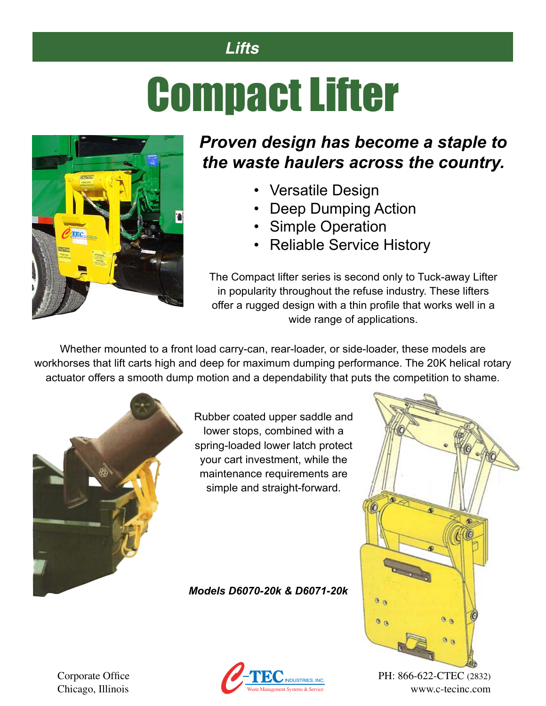#### *Lifts*

# Compact Lifter



### *Proven design has become a staple to the waste haulers across the country.*

- Versatile Design
- Deep Dumping Action
- Simple Operation
- Reliable Service History

The Compact lifter series is second only to Tuck-away Lifter in popularity throughout the refuse industry. These lifters offer a rugged design with a thin profile that works well in a wide range of applications.

Whether mounted to a front load carry-can, rear-loader, or side-loader, these models are workhorses that lift carts high and deep for maximum dumping performance. The 20K helical rotary actuator offers a smooth dump motion and a dependability that puts the competition to shame.



Rubber coated upper saddle and lower stops, combined with a spring-loaded lower latch protect your cart investment, while the maintenance requirements are simple and straight-forward.

*Models D6070-20k & D6071-20k*



Chicago, Illinois